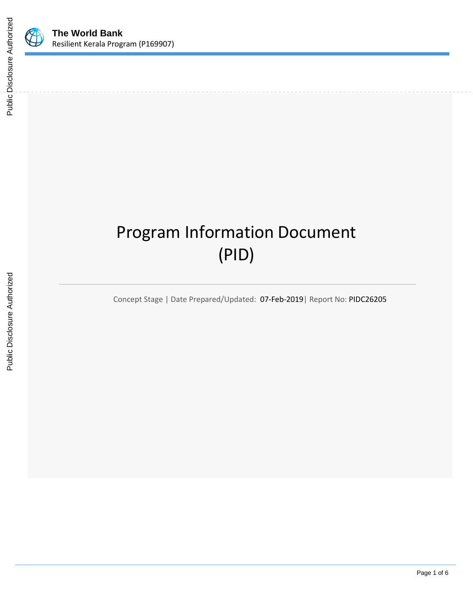

# Program Information Document (PID)

Concept Stage | Date Prepared/Updated: 07-Feb-2019| Report No: PIDC26205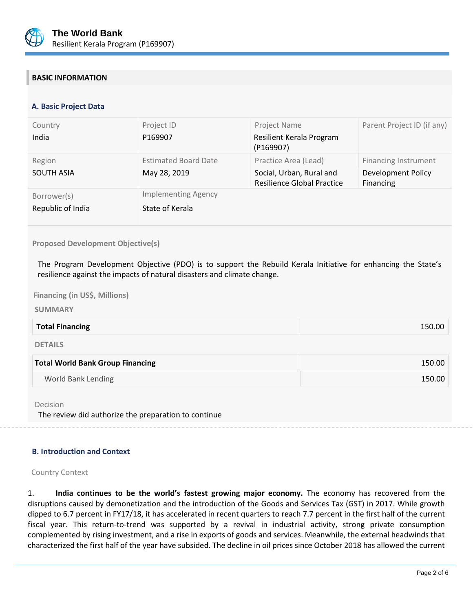

# **BASIC INFORMATION**

# **A. Basic Project Data**

| Country                          | Project ID                                    | Project Name                                                                          | Parent Project ID (if any)                                     |
|----------------------------------|-----------------------------------------------|---------------------------------------------------------------------------------------|----------------------------------------------------------------|
| India                            | P169907                                       | Resilient Kerala Program<br>(P169907)                                                 |                                                                |
| Region<br><b>SOUTH ASIA</b>      | <b>Estimated Board Date</b><br>May 28, 2019   | Practice Area (Lead)<br>Social, Urban, Rural and<br><b>Resilience Global Practice</b> | Financing Instrument<br><b>Development Policy</b><br>Financing |
| Borrower(s)<br>Republic of India | <b>Implementing Agency</b><br>State of Kerala |                                                                                       |                                                                |

#### **Proposed Development Objective(s)**

The Program Development Objective (PDO) is to support the Rebuild Kerala Initiative for enhancing the State's resilience against the impacts of natural disasters and climate change.

# **Financing (in US\$, Millions)**

#### **SUMMARY**

| <b>Total World Bank Group Financing</b> | 150.00 |
|-----------------------------------------|--------|
| <b>DETAILS</b>                          |        |
| <b>Total Financing</b>                  | 150.00 |

World Bank Lending 150.00

Decision

The review did authorize the preparation to continue

# **B. Introduction and Context**

#### Country Context

1. **India continues to be the world's fastest growing major economy.** The economy has recovered from the disruptions caused by demonetization and the introduction of the Goods and Services Tax (GST) in 2017. While growth dipped to 6.7 percent in FY17/18, it has accelerated in recent quarters to reach 7.7 percent in the first half of the current fiscal year. This return-to-trend was supported by a revival in industrial activity, strong private consumption complemented by rising investment, and a rise in exports of goods and services. Meanwhile, the external headwinds that characterized the first half of the year have subsided. The decline in oil prices since October 2018 has allowed the current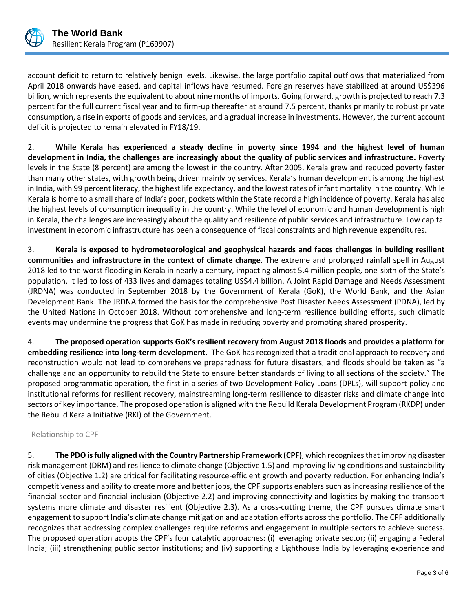

account deficit to return to relatively benign levels. Likewise, the large portfolio capital outflows that materialized from April 2018 onwards have eased, and capital inflows have resumed. Foreign reserves have stabilized at around US\$396 billion, which represents the equivalent to about nine months of imports. Going forward, growth is projected to reach 7.3 percent for the full current fiscal year and to firm-up thereafter at around 7.5 percent, thanks primarily to robust private consumption, a rise in exports of goods and services, and a gradual increase in investments. However, the current account deficit is projected to remain elevated in FY18/19.

2. **While Kerala has experienced a steady decline in poverty since 1994 and the highest level of human development in India, the challenges are increasingly about the quality of public services and infrastructure.** Poverty levels in the State (8 percent) are among the lowest in the country. After 2005, Kerala grew and reduced poverty faster than many other states, with growth being driven mainly by services. Kerala's human development is among the highest in India, with 99 percent literacy, the highest life expectancy, and the lowest rates of infant mortality in the country. While Kerala is home to a small share of India's poor, pockets within the State record a high incidence of poverty. Kerala has also the highest levels of consumption inequality in the country. While the level of economic and human development is high in Kerala, the challenges are increasingly about the quality and resilience of public services and infrastructure. Low capital investment in economic infrastructure has been a consequence of fiscal constraints and high revenue expenditures.

3. **Kerala is exposed to hydrometeorological and geophysical hazards and faces challenges in building resilient communities and infrastructure in the context of climate change.** The extreme and prolonged rainfall spell in August 2018 led to the worst flooding in Kerala in nearly a century, impacting almost 5.4 million people, one-sixth of the State's population. It led to loss of 433 lives and damages totaling US\$4.4 billion. A Joint Rapid Damage and Needs Assessment (JRDNA) was conducted in September 2018 by the Government of Kerala (GoK), the World Bank, and the Asian Development Bank. The JRDNA formed the basis for the comprehensive Post Disaster Needs Assessment (PDNA), led by the United Nations in October 2018. Without comprehensive and long-term resilience building efforts, such climatic events may undermine the progress that GoK has made in reducing poverty and promoting shared prosperity.

4. **The proposed operation supports GoK's resilient recovery from August 2018 floods and provides a platform for embedding resilience into long-term development.** The GoK has recognized that a traditional approach to recovery and reconstruction would not lead to comprehensive preparedness for future disasters, and floods should be taken as "a challenge and an opportunity to rebuild the State to ensure better standards of living to all sections of the society." The proposed programmatic operation, the first in a series of two Development Policy Loans (DPLs), will support policy and institutional reforms for resilient recovery, mainstreaming long-term resilience to disaster risks and climate change into sectors of key importance. The proposed operation is aligned with the Rebuild Kerala Development Program (RKDP) under the Rebuild Kerala Initiative (RKI) of the Government.

# Relationship to CPF

5. **The PDO is fully aligned with the Country Partnership Framework (CPF)**, which recognizes that improving disaster risk management (DRM) and resilience to climate change (Objective 1.5) and improving living conditions and sustainability of cities (Objective 1.2) are critical for facilitating resource-efficient growth and poverty reduction. For enhancing India's competitiveness and ability to create more and better jobs, the CPF supports enablers such as increasing resilience of the financial sector and financial inclusion (Objective 2.2) and improving connectivity and logistics by making the transport systems more climate and disaster resilient (Objective 2.3). As a cross-cutting theme, the CPF pursues climate smart engagement to support India's climate change mitigation and adaptation efforts across the portfolio. The CPF additionally recognizes that addressing complex challenges require reforms and engagement in multiple sectors to achieve success. The proposed operation adopts the CPF's four catalytic approaches: (i) leveraging private sector; (ii) engaging a Federal India; (iii) strengthening public sector institutions; and (iv) supporting a Lighthouse India by leveraging experience and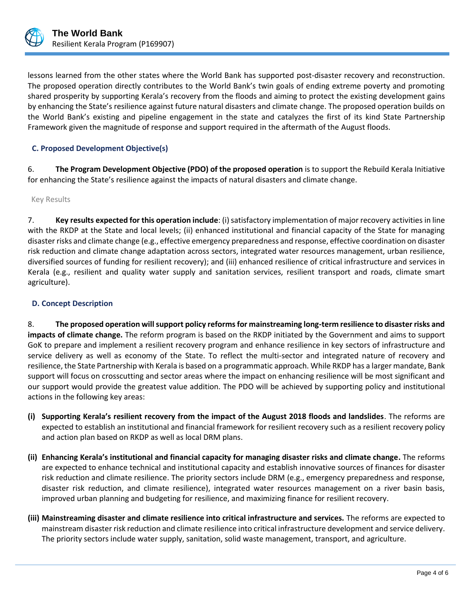

lessons learned from the other states where the World Bank has supported post-disaster recovery and reconstruction. The proposed operation directly contributes to the World Bank's twin goals of ending extreme poverty and promoting shared prosperity by supporting Kerala's recovery from the floods and aiming to protect the existing development gains by enhancing the State's resilience against future natural disasters and climate change. The proposed operation builds on the World Bank's existing and pipeline engagement in the state and catalyzes the first of its kind State Partnership Framework given the magnitude of response and support required in the aftermath of the August floods.

# **C. Proposed Development Objective(s)**

6. **The Program Development Objective (PDO) of the proposed operation** is to support the Rebuild Kerala Initiative for enhancing the State's resilience against the impacts of natural disasters and climate change.

Key Results

7. **Key results expected for this operation include**: (i) satisfactory implementation of major recovery activities in line with the RKDP at the State and local levels; (ii) enhanced institutional and financial capacity of the State for managing disaster risks and climate change (e.g., effective emergency preparedness and response, effective coordination on disaster risk reduction and climate change adaptation across sectors, integrated water resources management, urban resilience, diversified sources of funding for resilient recovery); and (iii) enhanced resilience of critical infrastructure and services in Kerala (e.g., resilient and quality water supply and sanitation services, resilient transport and roads, climate smart agriculture).

# **D. Concept Description**

8. **The proposed operation will support policy reforms for mainstreaming long-term resilience to disaster risks and impacts of climate change.** The reform program is based on the RKDP initiated by the Government and aims to support GoK to prepare and implement a resilient recovery program and enhance resilience in key sectors of infrastructure and service delivery as well as economy of the State. To reflect the multi-sector and integrated nature of recovery and resilience, the State Partnership with Kerala is based on a programmatic approach. While RKDP has a larger mandate, Bank support will focus on crosscutting and sector areas where the impact on enhancing resilience will be most significant and our support would provide the greatest value addition. The PDO will be achieved by supporting policy and institutional actions in the following key areas:

- **(i) Supporting Kerala's resilient recovery from the impact of the August 2018 floods and landslides**. The reforms are expected to establish an institutional and financial framework for resilient recovery such as a resilient recovery policy and action plan based on RKDP as well as local DRM plans.
- **(ii) Enhancing Kerala's institutional and financial capacity for managing disaster risks and climate change.** The reforms are expected to enhance technical and institutional capacity and establish innovative sources of finances for disaster risk reduction and climate resilience. The priority sectors include DRM (e.g., emergency preparedness and response, disaster risk reduction, and climate resilience), integrated water resources management on a river basin basis, improved urban planning and budgeting for resilience, and maximizing finance for resilient recovery.
- **(iii) Mainstreaming disaster and climate resilience into critical infrastructure and services.** The reforms are expected to mainstream disaster risk reduction and climate resilience into critical infrastructure development and service delivery. The priority sectors include water supply, sanitation, solid waste management, transport, and agriculture.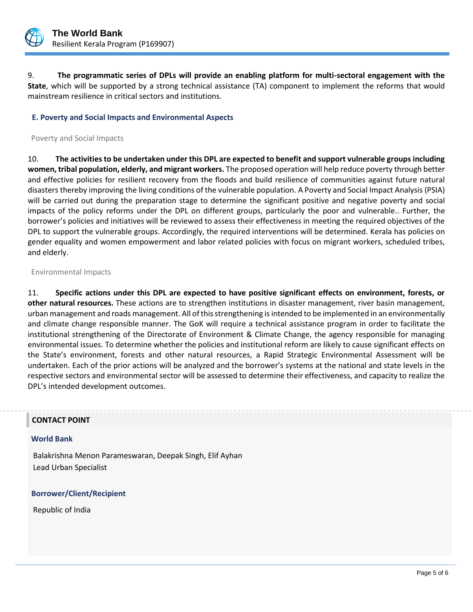

9. **The programmatic series of DPLs will provide an enabling platform for multi-sectoral engagement with the State**, which will be supported by a strong technical assistance (TA) component to implement the reforms that would mainstream resilience in critical sectors and institutions.

# **E. Poverty and Social Impacts and Environmental Aspects**

Poverty and Social Impacts

10. **The activities to be undertaken under this DPL are expected to benefit and support vulnerable groups including women, tribal population, elderly, and migrant workers.** The proposed operation will help reduce poverty through better and effective policies for resilient recovery from the floods and build resilience of communities against future natural disasters thereby improving the living conditions of the vulnerable population. A Poverty and Social Impact Analysis (PSIA) will be carried out during the preparation stage to determine the significant positive and negative poverty and social impacts of the policy reforms under the DPL on different groups, particularly the poor and vulnerable.. Further, the borrower's policies and initiatives will be reviewed to assess their effectiveness in meeting the required objectives of the DPL to support the vulnerable groups. Accordingly, the required interventions will be determined. Kerala has policies on gender equality and women empowerment and labor related policies with focus on migrant workers, scheduled tribes, and elderly.

#### Environmental Impacts

11. **Specific actions under this DPL are expected to have positive significant effects on environment, forests, or other natural resources.** These actions are to strengthen institutions in disaster management, river basin management, urban management and roads management. All of this strengthening is intended to be implemented in an environmentally and climate change responsible manner. The GoK will require a technical assistance program in order to facilitate the institutional strengthening of the Directorate of Environment & Climate Change, the agency responsible for managing environmental issues. To determine whether the policies and institutional reform are likely to cause significant effects on the State's environment, forests and other natural resources, a Rapid Strategic Environmental Assessment will be undertaken. Each of the prior actions will be analyzed and the borrower's systems at the national and state levels in the respective sectors and environmental sector will be assessed to determine their effectiveness, and capacity to realize the DPL's intended development outcomes.

#### **CONTACT POINT**

#### **World Bank**

Balakrishna Menon Parameswaran, Deepak Singh, Elif Ayhan Lead Urban Specialist

# **Borrower/Client/Recipient**

Republic of India